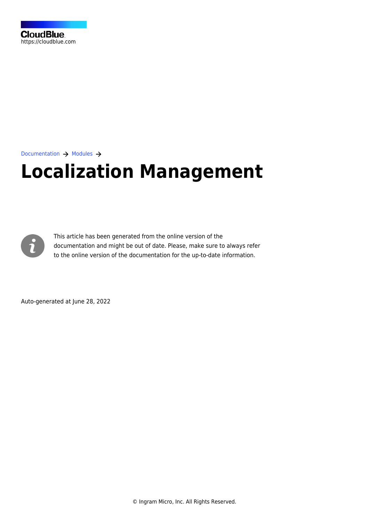

[Documentation](https://connect.cloudblue.com/documentation)  $\rightarrow$  [Modules](https://connect.cloudblue.com/community/modules/)  $\rightarrow$ 

# **[Localization Management](https://connect.cloudblue.com/community/modules/localization/)**



This article has been generated from the online version of the documentation and might be out of date. Please, make sure to always refer to the online version of the documentation for the up-to-date information.

Auto-generated at June 28, 2022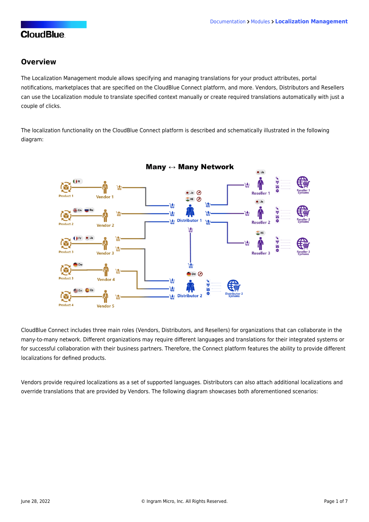#### **Overview**

The Localization Management module allows specifying and managing translations for your product attributes, portal notifications, marketplaces that are specified on the CloudBlue Connect platform, and more. Vendors, Distributors and Resellers can use the Localization module to translate specified context manually or create required translations automatically with just a couple of clicks.

The localization functionality on the CloudBlue Connect platform is described and schematically illustrated in the following diagram:



CloudBlue Connect includes three main roles (Vendors, Distributors, and Resellers) for organizations that can collaborate in the many-to-many network. Different organizations may require different languages and translations for their integrated systems or for successful collaboration with their business partners. Therefore, the Connect platform features the ability to provide different localizations for defined products.

Vendors provide required localizations as a set of supported languages. Distributors can also attach additional localizations and override translations that are provided by Vendors. The following diagram showcases both aforementioned scenarios: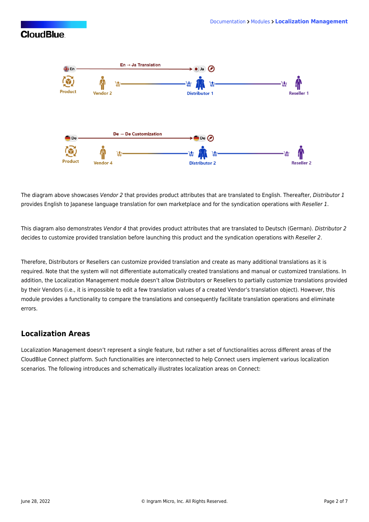

The diagram above showcases Vendor 2 that provides product attributes that are translated to English. Thereafter, Distributor 1 provides English to Japanese language translation for own marketplace and for the syndication operations with Reseller 1.

This diagram also demonstrates Vendor 4 that provides product attributes that are translated to Deutsch (German). Distributor 2 decides to customize provided translation before launching this product and the syndication operations with Reseller 2.

Therefore, Distributors or Resellers can customize provided translation and create as many additional translations as it is required. Note that the system will not differentiate automatically created translations and manual or customized translations. In addition, the Localization Management module doesn't allow Distributors or Resellers to partially customize translations provided by their Vendors (i.e., it is impossible to edit a few translation values of a created Vendor's translation object). However, this module provides a functionality to compare the translations and consequently facilitate translation operations and eliminate errors.

#### **Localization Areas**

Localization Management doesn't represent a single feature, but rather a set of functionalities across different areas of the CloudBlue Connect platform. Such functionalities are interconnected to help Connect users implement various localization scenarios. The following introduces and schematically illustrates localization areas on Connect: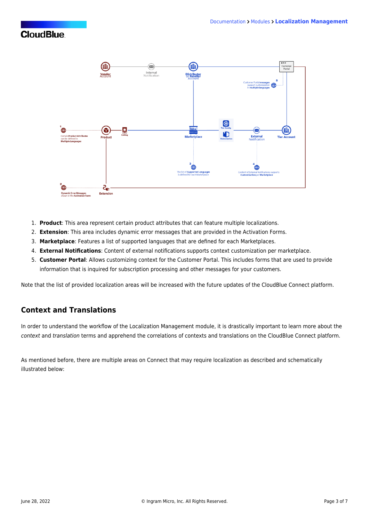

- 1. **Product**: This area represent certain product attributes that can feature multiple localizations.
- 2. **Extension**: This area includes dynamic error messages that are provided in the [Activation Forms](https://connect.cloudblue.com/community/modules/products/embedding/#Templates).
- 3. **Marketplace**: Features a list of supported languages that are defined for each Marketplaces.
- 4. **External Notifications**: Content of external notifications supports context customization per marketplace.
- 5. **Customer Portal**: Allows customizing context for the Customer Portal. This includes forms that are used to provide information that is inquired for subscription processing and other messages for your customers.

Note that the list of provided localization areas will be increased with the future updates of the CloudBlue Connect platform.

#### **Context and Translations**

In order to understand the workflow of the Localization Management module, it is drastically important to learn more about the context and translation terms and apprehend the correlations of contexts and translations on the CloudBlue Connect platform.

As mentioned before, there are multiple areas on Connect that may require localization as described and schematically illustrated below: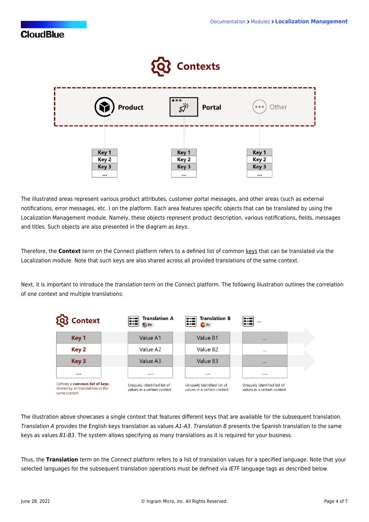

The illustrated areas represent various product attributes, customer portal messages, and other areas (such as external notifications, error messages, etc. ) on the platform. Each area features specific objects that can be translated by using the Localization Management module. Namely, these objects represent product description, various notifications, fields, messages and titles. Such objects are also presented in the diagram as keys.

Therefore, the **Context** term on the Connect platform refers to a defined list of common keys that can be translated via the Localization module. Note that such keys are also shared across all provided translations of the same context.

Next, it is important to introduce the translation term on the Connect platform. The following illustration outlines the correlation of one context and multiple translations:

| <b>LOC</b> Context                                                                 | <b>Translation A</b><br>E<br>$\rightarrow$<br>E En         | <b>Translation B</b><br>W<br><b>Es</b>                     | x<br><br>$\bullet$ + $\bullet$                             |
|------------------------------------------------------------------------------------|------------------------------------------------------------|------------------------------------------------------------|------------------------------------------------------------|
| Key 1                                                                              | Value A1                                                   | Value B1                                                   | $\cdots$                                                   |
| Key 2                                                                              | Value A2                                                   | Value B <sub>2</sub>                                       | $\cdots$                                                   |
| Key 3                                                                              | Value A3                                                   | Value B <sub>3</sub>                                       | $\cdots$                                                   |
| $\cdots$                                                                           |                                                            |                                                            |                                                            |
| Defines a common list of keys<br>shared by all translations in the<br>same context | Uniquely identified list of<br>values in a certain context | Uniquely identified list of<br>values in a certain context | Uniquely identified list of<br>values in a certain context |

The illustration above showcases a single context that features different keys that are available for the subsequent translation. Translation A provides the English keys translation as values A1-A3. Translation B presents the Spanish translation to the same keys as values B1-B3. The system allows specifying as many translations as it is required for your business.

Thus, the **Translation** term on the Connect platform refers to a list of translation values for a specified language. Note that your selected languages for the subsequent translation operations must be defined via IETF language tags as described below.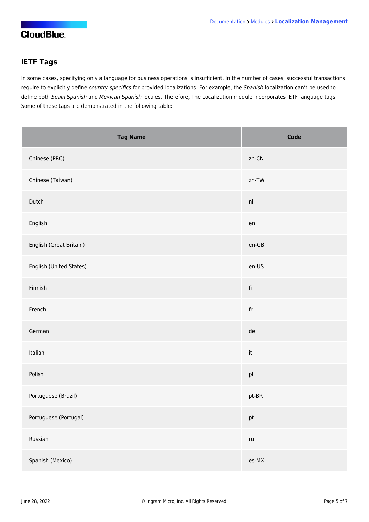### **IETF Tags**

In some cases, specifying only a language for business operations is insufficient. In the number of cases, successful transactions require to explicitly define country specifics for provided localizations. For example, the Spanish localization can't be used to define both Spain Spanish and Mexican Spanish locales. Therefore, The Localization module incorporates IETF language tags. Some of these tags are demonstrated in the following table:

| <b>Tag Name</b>         | Code                    |
|-------------------------|-------------------------|
| Chinese (PRC)           | zh-CN                   |
| Chinese (Taiwan)        | zh-TW                   |
| Dutch                   | nl                      |
| English                 | en                      |
| English (Great Britain) | $en-GB$                 |
| English (United States) | en-US                   |
| Finnish                 | $\operatorname{\sf fi}$ |
| French                  | fr                      |
| German                  | de                      |
| Italian                 | $\operatorname{\sf it}$ |
| Polish                  | p <sub>l</sub>          |
| Portuguese (Brazil)     | pt-BR                   |
| Portuguese (Portugal)   | pt                      |
| Russian                 | $\mathsf{r}\mathsf{u}$  |
| Spanish (Mexico)        | es-MX                   |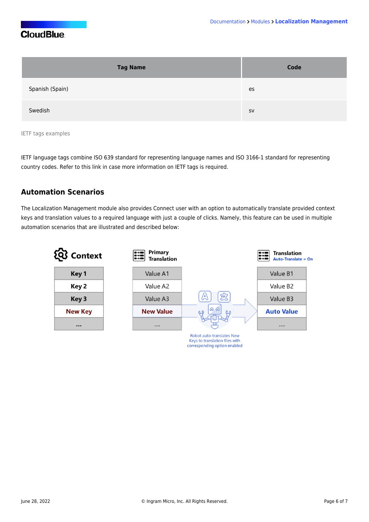| <b>Tag Name</b> | Code      |
|-----------------|-----------|
| Spanish (Spain) | es        |
| Swedish         | <b>SV</b> |

IETF tags examples

IETF language tags combine [ISO 639](http://en.wikipedia.org/wiki/ISO_639) standard for representing language names and [ISO 3166-1](http://en.wikipedia.org/wiki/ISO_3166-1) standard for representing country codes. Refer to [this link](http://ISO 639 standard for representing language names and ISO 3166-1 standard for representing country codes.) in case more information on IETF tags is required.

#### **Automation Scenarios**

The Localization Management module also provides Connect user with an option to automatically translate provided context keys and translation values to a required language with just a couple of clicks. Namely, this feature can be used in multiple automation scenarios that are illustrated and described below: